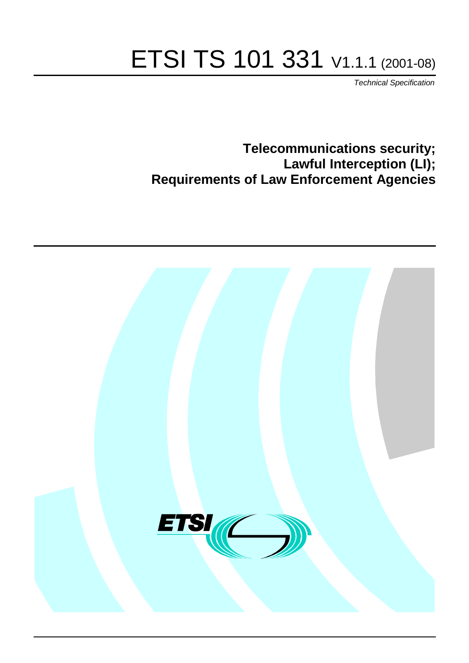# ETSI TS 101 331 V1.1.1 (2001-08)

Technical Specification

**Telecommunications security; Lawful Interception (LI); Requirements of Law Enforcement Agencies**

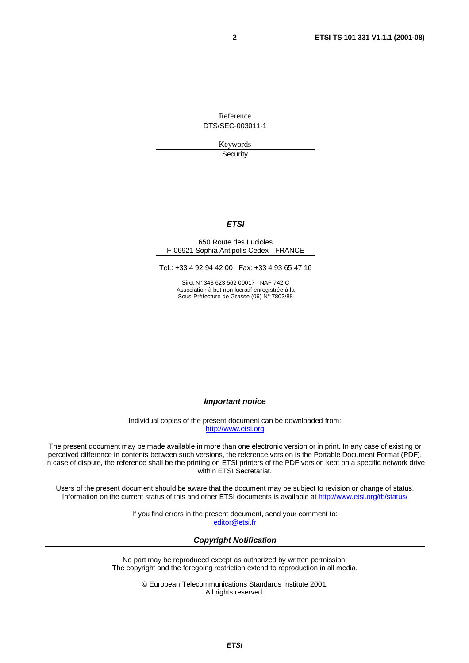Reference DTS/SEC-003011-1

> Keywords **Security**

#### **ETSI**

#### 650 Route des Lucioles F-06921 Sophia Antipolis Cedex - FRANCE

Tel.: +33 4 92 94 42 00 Fax: +33 4 93 65 47 16

Siret N° 348 623 562 00017 - NAF 742 C Association à but non lucratif enregistrée à la Sous-Préfecture de Grasse (06) N° 7803/88

**Important notice**

Individual copies of the present document can be downloaded from: [http://www.etsi.org](http://www.etsi.org/)

The present document may be made available in more than one electronic version or in print. In any case of existing or perceived difference in contents between such versions, the reference version is the Portable Document Format (PDF). In case of dispute, the reference shall be the printing on ETSI printers of the PDF version kept on a specific network drive within ETSI Secretariat.

Users of the present document should be aware that the document may be subject to revision or change of status. Information on the current status of this and other ETSI documents is available at <http://www.etsi.org/tb/status>/

> If you find errors in the present document, send your comment to: [editor@etsi.fr](mailto:editor@etsi.fr)

#### **Copyright Notification**

No part may be reproduced except as authorized by written permission. The copyright and the foregoing restriction extend to reproduction in all media.

> © European Telecommunications Standards Institute 2001. All rights reserved.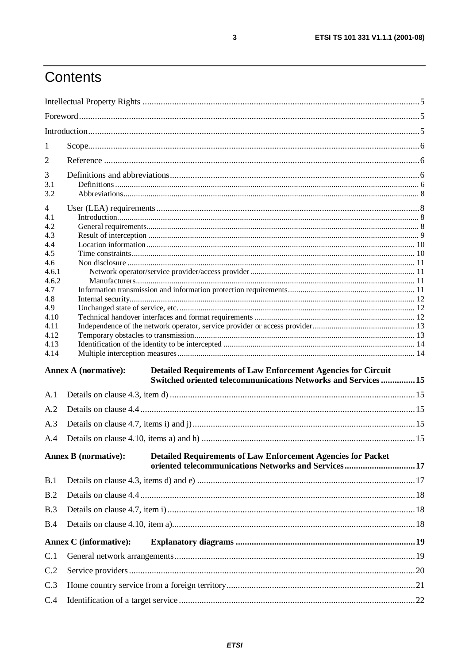# Contents

| 1          |                                                                                                                                                                       |  |  |  |  |
|------------|-----------------------------------------------------------------------------------------------------------------------------------------------------------------------|--|--|--|--|
| 2          |                                                                                                                                                                       |  |  |  |  |
| 3          |                                                                                                                                                                       |  |  |  |  |
| 3.1        |                                                                                                                                                                       |  |  |  |  |
| 3.2        |                                                                                                                                                                       |  |  |  |  |
| 4          |                                                                                                                                                                       |  |  |  |  |
| 4.1        |                                                                                                                                                                       |  |  |  |  |
| 4.2        |                                                                                                                                                                       |  |  |  |  |
| 4.3        |                                                                                                                                                                       |  |  |  |  |
| 4.4        |                                                                                                                                                                       |  |  |  |  |
| 4.5<br>4.6 |                                                                                                                                                                       |  |  |  |  |
| 4.6.1      |                                                                                                                                                                       |  |  |  |  |
| 4.6.2      |                                                                                                                                                                       |  |  |  |  |
| 4.7        |                                                                                                                                                                       |  |  |  |  |
| 4.8        |                                                                                                                                                                       |  |  |  |  |
| 4.9        |                                                                                                                                                                       |  |  |  |  |
| 4.10       |                                                                                                                                                                       |  |  |  |  |
| 4.11       |                                                                                                                                                                       |  |  |  |  |
| 4.12       |                                                                                                                                                                       |  |  |  |  |
| 4.13       |                                                                                                                                                                       |  |  |  |  |
| 4.14       |                                                                                                                                                                       |  |  |  |  |
|            | <b>Annex A (normative):</b><br><b>Detailed Requirements of Law Enforcement Agencies for Circuit</b><br>Switched oriented telecommunications Networks and Services  15 |  |  |  |  |
| A.1        |                                                                                                                                                                       |  |  |  |  |
| A.2        |                                                                                                                                                                       |  |  |  |  |
| A.3        |                                                                                                                                                                       |  |  |  |  |
| A.4        |                                                                                                                                                                       |  |  |  |  |
|            |                                                                                                                                                                       |  |  |  |  |
|            | <b>Annex B</b> (normative):<br><b>Detailed Requirements of Law Enforcement Agencies for Packet</b><br>oriented telecommunications Networks and Services17             |  |  |  |  |
| B.1        |                                                                                                                                                                       |  |  |  |  |
| B.2        |                                                                                                                                                                       |  |  |  |  |
| B.3        |                                                                                                                                                                       |  |  |  |  |
| B.4        |                                                                                                                                                                       |  |  |  |  |
|            |                                                                                                                                                                       |  |  |  |  |
|            | <b>Annex C</b> (informative):                                                                                                                                         |  |  |  |  |
| C.1        |                                                                                                                                                                       |  |  |  |  |
| C.2        |                                                                                                                                                                       |  |  |  |  |
| C.3        |                                                                                                                                                                       |  |  |  |  |
| C.4        |                                                                                                                                                                       |  |  |  |  |

 $\mathbf 3$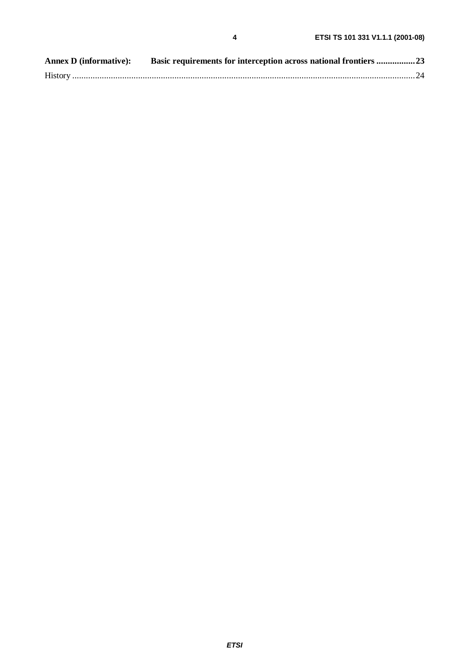| <b>Annex D</b> (informative): | Basic requirements for interception across national frontiers 23 |  |
|-------------------------------|------------------------------------------------------------------|--|
|                               |                                                                  |  |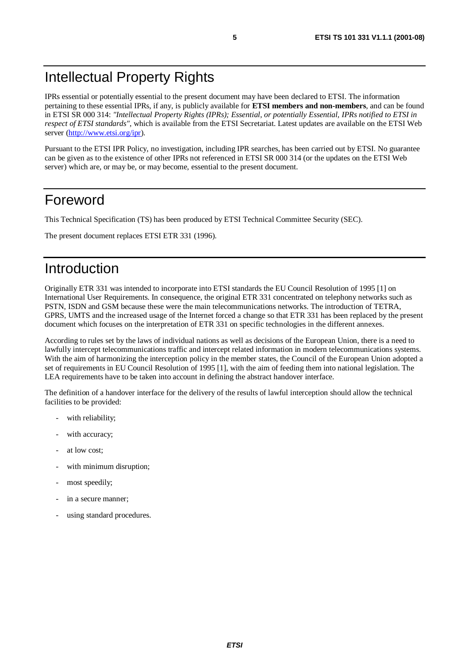## Intellectual Property Rights

IPRs essential or potentially essential to the present document may have been declared to ETSI. The information pertaining to these essential IPRs, if any, is publicly available for **ETSI members and non-members**, and can be found in ETSI SR 000 314: *"Intellectual Property Rights (IPRs); Essential, or potentially Essential, IPRs notified to ETSI in respect of ETSI standards"*, which is available from the ETSI Secretariat. Latest updates are available on the ETSI Web server [\(http://www.etsi.org/ipr](http://www.etsi.org/ipr)).

Pursuant to the ETSI IPR Policy, no investigation, including IPR searches, has been carried out by ETSI. No guarantee can be given as to the existence of other IPRs not referenced in ETSI SR 000 314 (or the updates on the ETSI Web server) which are, or may be, or may become, essential to the present document.

#### Foreword

This Technical Specification (TS) has been produced by ETSI Technical Committee Security (SEC).

The present document replaces ETSI ETR 331 (1996).

## Introduction

Originally ETR 331 was intended to incorporate into ETSI standards the EU Council Resolution of 1995 [1] on International User Requirements. In consequence, the original ETR 331 concentrated on telephony networks such as PSTN, ISDN and GSM because these were the main telecommunications networks. The introduction of TETRA, GPRS, UMTS and the increased usage of the Internet forced a change so that ETR 331 has been replaced by the present document which focuses on the interpretation of ETR 331 on specific technologies in the different annexes.

According to rules set by the laws of individual nations as well as decisions of the European Union, there is a need to lawfully intercept telecommunications traffic and intercept related information in modern telecommunications systems. With the aim of harmonizing the interception policy in the member states, the Council of the European Union adopted a set of requirements in EU Council Resolution of 1995 [1], with the aim of feeding them into national legislation. The LEA requirements have to be taken into account in defining the abstract handover interface.

The definition of a handover interface for the delivery of the results of lawful interception should allow the technical facilities to be provided:

- with reliability;
- with accuracy;
- at low cost:
- with minimum disruption;
- most speedily;
- in a secure manner;
- using standard procedures.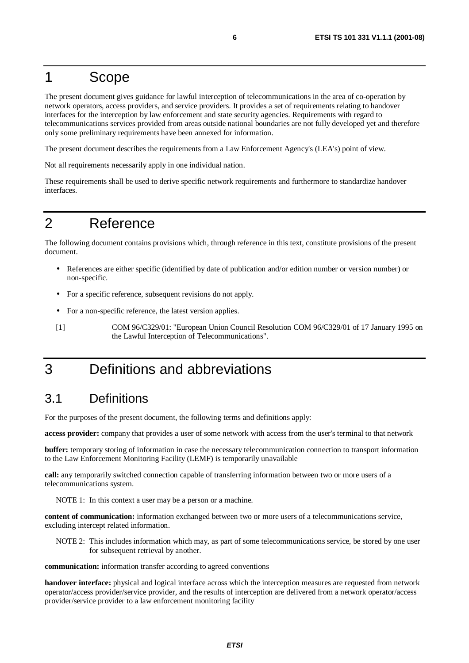#### 1 Scope

The present document gives guidance for lawful interception of telecommunications in the area of co-operation by network operators, access providers, and service providers. It provides a set of requirements relating to handover interfaces for the interception by law enforcement and state security agencies. Requirements with regard to telecommunications services provided from areas outside national boundaries are not fully developed yet and therefore only some preliminary requirements have been annexed for information.

The present document describes the requirements from a Law Enforcement Agency's (LEA's) point of view.

Not all requirements necessarily apply in one individual nation.

These requirements shall be used to derive specific network requirements and furthermore to standardize handover interfaces.

## 2 Reference

The following document contains provisions which, through reference in this text, constitute provisions of the present document.

- References are either specific (identified by date of publication and/or edition number or version number) or non-specific.
- For a specific reference, subsequent revisions do not apply.
- For a non-specific reference, the latest version applies.
- [1] COM 96/C329/01: "European Union Council Resolution COM 96/C329/01 of 17 January 1995 on the Lawful Interception of Telecommunications".

## 3 Definitions and abbreviations

#### 3.1 Definitions

For the purposes of the present document, the following terms and definitions apply:

**access provider:** company that provides a user of some network with access from the user's terminal to that network

**buffer:** temporary storing of information in case the necessary telecommunication connection to transport information to the Law Enforcement Monitoring Facility (LEMF) is temporarily unavailable

**call:** any temporarily switched connection capable of transferring information between two or more users of a telecommunications system.

NOTE 1: In this context a user may be a person or a machine.

**content of communication:** information exchanged between two or more users of a telecommunications service, excluding intercept related information.

NOTE 2: This includes information which may, as part of some telecommunications service, be stored by one user for subsequent retrieval by another.

**communication:** information transfer according to agreed conventions

**handover interface:** physical and logical interface across which the interception measures are requested from network operator/access provider/service provider, and the results of interception are delivered from a network operator/access provider/service provider to a law enforcement monitoring facility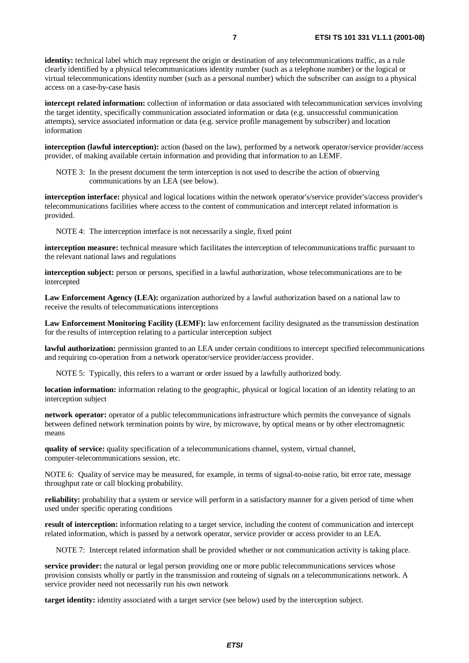**identity:** technical label which may represent the origin or destination of any telecommunications traffic, as a rule clearly identified by a physical telecommunications identity number (such as a telephone number) or the logical or virtual telecommunications identity number (such as a personal number) which the subscriber can assign to a physical access on a case-by-case basis

**intercept related information:** collection of information or data associated with telecommunication services involving the target identity, specifically communication associated information or data (e.g. unsuccessful communication attempts), service associated information or data (e.g. service profile management by subscriber) and location information

**interception (lawful interception):** action (based on the law), performed by a network operator/service provider/access provider, of making available certain information and providing that information to an LEMF.

NOTE 3: In the present document the term interception is not used to describe the action of observing communications by an LEA (see below).

**interception interface:** physical and logical locations within the network operator's/service provider's/access provider's telecommunications facilities where access to the content of communication and intercept related information is provided.

NOTE 4: The interception interface is not necessarily a single, fixed point

**interception measure:** technical measure which facilitates the interception of telecommunications traffic pursuant to the relevant national laws and regulations

**interception subject:** person or persons, specified in a lawful authorization, whose telecommunications are to be intercepted

**Law Enforcement Agency (LEA):** organization authorized by a lawful authorization based on a national law to receive the results of telecommunications interceptions

**Law Enforcement Monitoring Facility (LEMF):** law enforcement facility designated as the transmission destination for the results of interception relating to a particular interception subject

**lawful authorization:** permission granted to an LEA under certain conditions to intercept specified telecommunications and requiring co-operation from a network operator/service provider/access provider.

NOTE 5: Typically, this refers to a warrant or order issued by a lawfully authorized body.

**location information:** information relating to the geographic, physical or logical location of an identity relating to an interception subject

**network operator:** operator of a public telecommunications infrastructure which permits the conveyance of signals between defined network termination points by wire, by microwave, by optical means or by other electromagnetic means

**quality of service:** quality specification of a telecommunications channel, system, virtual channel, computer-telecommunications session, etc.

NOTE 6: Quality of service may be measured, for example, in terms of signal-to-noise ratio, bit error rate, message throughput rate or call blocking probability.

**reliability:** probability that a system or service will perform in a satisfactory manner for a given period of time when used under specific operating conditions

**result of interception:** information relating to a target service, including the content of communication and intercept related information, which is passed by a network operator, service provider or access provider to an LEA.

NOTE 7: Intercept related information shall be provided whether or not communication activity is taking place.

**service provider:** the natural or legal person providing one or more public telecommunications services whose provision consists wholly or partly in the transmission and routeing of signals on a telecommunications network. A service provider need not necessarily run his own network

**target identity:** identity associated with a target service (see below) used by the interception subject.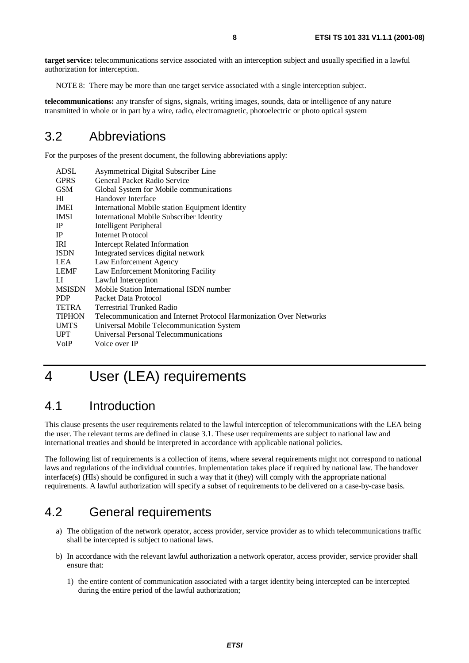**target service:** telecommunications service associated with an interception subject and usually specified in a lawful authorization for interception.

NOTE 8: There may be more than one target service associated with a single interception subject.

**telecommunications:** any transfer of signs, signals, writing images, sounds, data or intelligence of any nature transmitted in whole or in part by a wire, radio, electromagnetic, photoelectric or photo optical system

#### 3.2 Abbreviations

For the purposes of the present document, the following abbreviations apply:

| ADSL                                                    | Asymmetrical Digital Subscriber Line                                |  |
|---------------------------------------------------------|---------------------------------------------------------------------|--|
| <b>GPRS</b>                                             | General Packet Radio Service                                        |  |
| <b>GSM</b>                                              | Global System for Mobile communications                             |  |
| HТ                                                      | Handover Interface                                                  |  |
| <b>IMEI</b>                                             | International Mobile station Equipment Identity                     |  |
| <b>IMSI</b><br>International Mobile Subscriber Identity |                                                                     |  |
| $_{\rm IP}$                                             | <b>Intelligent Peripheral</b>                                       |  |
| <b>IP</b>                                               | Internet Protocol                                                   |  |
| <b>IRI</b>                                              | <b>Intercept Related Information</b>                                |  |
| <b>ISDN</b>                                             | Integrated services digital network                                 |  |
| <b>LEA</b>                                              | Law Enforcement Agency                                              |  |
| <b>LEMF</b>                                             | Law Enforcement Monitoring Facility                                 |  |
| LI.                                                     | Lawful Interception                                                 |  |
| <b>MSISDN</b>                                           | Mobile Station International ISDN number                            |  |
| <b>PDP</b>                                              | Packet Data Protocol                                                |  |
| TETRA                                                   | <b>Terrestrial Trunked Radio</b>                                    |  |
| <b>TIPHON</b>                                           | Telecommunication and Internet Protocol Harmonization Over Networks |  |
| <b>UMTS</b>                                             | Universal Mobile Telecommunication System                           |  |
| <b>UPT</b>                                              | Universal Personal Telecommunications                               |  |
| VoIP                                                    | Voice over IP                                                       |  |

# 4 User (LEA) requirements

#### 4.1 Introduction

This clause presents the user requirements related to the lawful interception of telecommunications with the LEA being the user. The relevant terms are defined in clause 3.1. These user requirements are subject to national law and international treaties and should be interpreted in accordance with applicable national policies.

The following list of requirements is a collection of items, where several requirements might not correspond to national laws and regulations of the individual countries. Implementation takes place if required by national law. The handover interface(s) (HIs) should be configured in such a way that it (they) will comply with the appropriate national requirements. A lawful authorization will specify a subset of requirements to be delivered on a case-by-case basis.

#### 4.2 General requirements

- a) The obligation of the network operator, access provider, service provider as to which telecommunications traffic shall be intercepted is subject to national laws.
- b) In accordance with the relevant lawful authorization a network operator, access provider, service provider shall ensure that:
	- 1) the entire content of communication associated with a target identity being intercepted can be intercepted during the entire period of the lawful authorization;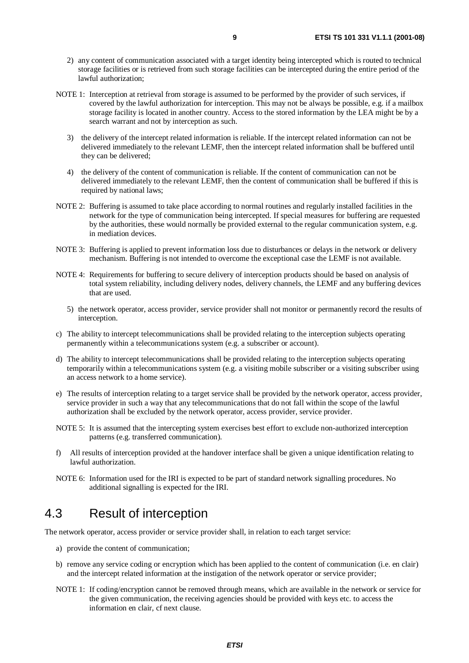- 2) any content of communication associated with a target identity being intercepted which is routed to technical storage facilities or is retrieved from such storage facilities can be intercepted during the entire period of the lawful authorization;
- NOTE 1: Interception at retrieval from storage is assumed to be performed by the provider of such services, if covered by the lawful authorization for interception. This may not be always be possible, e.g. if a mailbox storage facility is located in another country. Access to the stored information by the LEA might be by a search warrant and not by interception as such.
	- 3) the delivery of the intercept related information is reliable. If the intercept related information can not be delivered immediately to the relevant LEMF, then the intercept related information shall be buffered until they can be delivered;
	- 4) the delivery of the content of communication is reliable. If the content of communication can not be delivered immediately to the relevant LEMF, then the content of communication shall be buffered if this is required by national laws;
- NOTE 2: Buffering is assumed to take place according to normal routines and regularly installed facilities in the network for the type of communication being intercepted. If special measures for buffering are requested by the authorities, these would normally be provided external to the regular communication system, e.g. in mediation devices.
- NOTE 3: Buffering is applied to prevent information loss due to disturbances or delays in the network or delivery mechanism. Buffering is not intended to overcome the exceptional case the LEMF is not available.
- NOTE 4: Requirements for buffering to secure delivery of interception products should be based on analysis of total system reliability, including delivery nodes, delivery channels, the LEMF and any buffering devices that are used.
	- 5) the network operator, access provider, service provider shall not monitor or permanently record the results of interception.
- c) The ability to intercept telecommunications shall be provided relating to the interception subjects operating permanently within a telecommunications system (e.g. a subscriber or account).
- d) The ability to intercept telecommunications shall be provided relating to the interception subjects operating temporarily within a telecommunications system (e.g. a visiting mobile subscriber or a visiting subscriber using an access network to a home service).
- e) The results of interception relating to a target service shall be provided by the network operator, access provider, service provider in such a way that any telecommunications that do not fall within the scope of the lawful authorization shall be excluded by the network operator, access provider, service provider.
- NOTE 5: It is assumed that the intercepting system exercises best effort to exclude non-authorized interception patterns (e.g. transferred communication).
- f) All results of interception provided at the handover interface shall be given a unique identification relating to lawful authorization.
- NOTE 6: Information used for the IRI is expected to be part of standard network signalling procedures. No additional signalling is expected for the IRI.

#### 4.3 Result of interception

The network operator, access provider or service provider shall, in relation to each target service:

- a) provide the content of communication;
- b) remove any service coding or encryption which has been applied to the content of communication (i.e. en clair) and the intercept related information at the instigation of the network operator or service provider;
- NOTE 1: If coding/encryption cannot be removed through means, which are available in the network or service for the given communication, the receiving agencies should be provided with keys etc. to access the information en clair, cf next clause.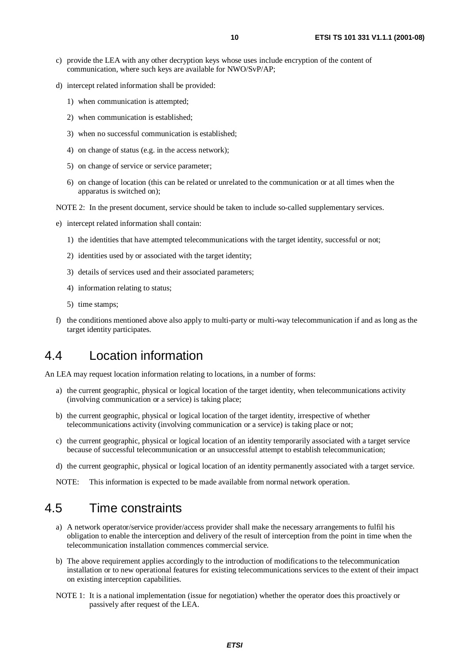- c) provide the LEA with any other decryption keys whose uses include encryption of the content of communication, where such keys are available for NWO/SvP/AP;
- d) intercept related information shall be provided:
	- 1) when communication is attempted;
	- 2) when communication is established;
	- 3) when no successful communication is established;
	- 4) on change of status (e.g. in the access network);
	- 5) on change of service or service parameter;
	- 6) on change of location (this can be related or unrelated to the communication or at all times when the apparatus is switched on);
- NOTE 2: In the present document, service should be taken to include so-called supplementary services.
- e) intercept related information shall contain:
	- 1) the identities that have attempted telecommunications with the target identity, successful or not;
	- 2) identities used by or associated with the target identity;
	- 3) details of services used and their associated parameters;
	- 4) information relating to status;
	- 5) time stamps;
- f) the conditions mentioned above also apply to multi-party or multi-way telecommunication if and as long as the target identity participates.

#### 4.4 Location information

An LEA may request location information relating to locations, in a number of forms:

- a) the current geographic, physical or logical location of the target identity, when telecommunications activity (involving communication or a service) is taking place;
- b) the current geographic, physical or logical location of the target identity, irrespective of whether telecommunications activity (involving communication or a service) is taking place or not;
- c) the current geographic, physical or logical location of an identity temporarily associated with a target service because of successful telecommunication or an unsuccessful attempt to establish telecommunication;
- d) the current geographic, physical or logical location of an identity permanently associated with a target service.
- NOTE: This information is expected to be made available from normal network operation.

#### 4.5 Time constraints

- a) A network operator/service provider/access provider shall make the necessary arrangements to fulfil his obligation to enable the interception and delivery of the result of interception from the point in time when the telecommunication installation commences commercial service.
- b) The above requirement applies accordingly to the introduction of modifications to the telecommunication installation or to new operational features for existing telecommunications services to the extent of their impact on existing interception capabilities.
- NOTE 1: It is a national implementation (issue for negotiation) whether the operator does this proactively or passively after request of the LEA.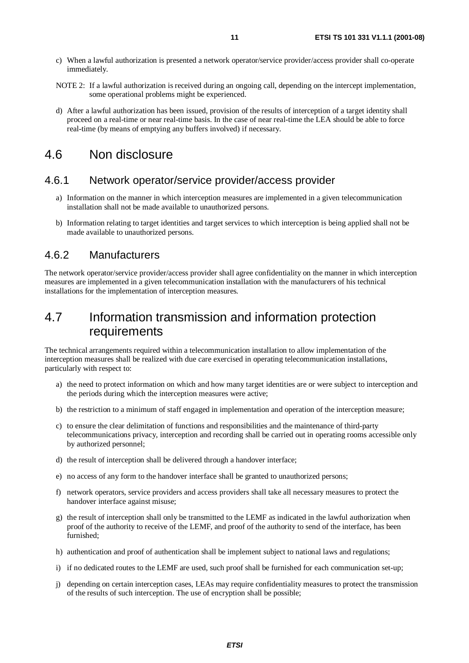- c) When a lawful authorization is presented a network operator/service provider/access provider shall co-operate immediately.
- NOTE 2: If a lawful authorization is received during an ongoing call, depending on the intercept implementation, some operational problems might be experienced.
- d) After a lawful authorization has been issued, provision of the results of interception of a target identity shall proceed on a real-time or near real-time basis. In the case of near real-time the LEA should be able to force real-time (by means of emptying any buffers involved) if necessary.

#### 4.6 Non disclosure

#### 4.6.1 Network operator/service provider/access provider

- a) Information on the manner in which interception measures are implemented in a given telecommunication installation shall not be made available to unauthorized persons.
- b) Information relating to target identities and target services to which interception is being applied shall not be made available to unauthorized persons.

#### 4.6.2 Manufacturers

The network operator/service provider/access provider shall agree confidentiality on the manner in which interception measures are implemented in a given telecommunication installation with the manufacturers of his technical installations for the implementation of interception measures.

#### 4.7 Information transmission and information protection requirements

The technical arrangements required within a telecommunication installation to allow implementation of the interception measures shall be realized with due care exercised in operating telecommunication installations, particularly with respect to:

- a) the need to protect information on which and how many target identities are or were subject to interception and the periods during which the interception measures were active;
- b) the restriction to a minimum of staff engaged in implementation and operation of the interception measure;
- c) to ensure the clear delimitation of functions and responsibilities and the maintenance of third-party telecommunications privacy, interception and recording shall be carried out in operating rooms accessible only by authorized personnel;
- d) the result of interception shall be delivered through a handover interface;
- e) no access of any form to the handover interface shall be granted to unauthorized persons;
- f) network operators, service providers and access providers shall take all necessary measures to protect the handover interface against misuse;
- g) the result of interception shall only be transmitted to the LEMF as indicated in the lawful authorization when proof of the authority to receive of the LEMF, and proof of the authority to send of the interface, has been furnished;
- h) authentication and proof of authentication shall be implement subject to national laws and regulations;
- i) if no dedicated routes to the LEMF are used, such proof shall be furnished for each communication set-up;
- j) depending on certain interception cases, LEAs may require confidentiality measures to protect the transmission of the results of such interception. The use of encryption shall be possible;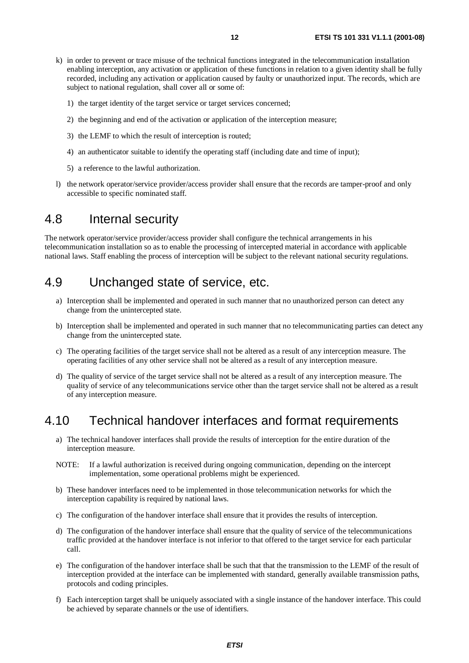- k) in order to prevent or trace misuse of the technical functions integrated in the telecommunication installation enabling interception, any activation or application of these functions in relation to a given identity shall be fully recorded, including any activation or application caused by faulty or unauthorized input. The records, which are subject to national regulation, shall cover all or some of:
	- 1) the target identity of the target service or target services concerned;
	- 2) the beginning and end of the activation or application of the interception measure;
	- 3) the LEMF to which the result of interception is routed;
	- 4) an authenticator suitable to identify the operating staff (including date and time of input);
	- 5) a reference to the lawful authorization.
- l) the network operator/service provider/access provider shall ensure that the records are tamper-proof and only accessible to specific nominated staff.

#### 4.8 Internal security

The network operator/service provider/access provider shall configure the technical arrangements in his telecommunication installation so as to enable the processing of intercepted material in accordance with applicable national laws. Staff enabling the process of interception will be subject to the relevant national security regulations.

#### 4.9 Unchanged state of service, etc.

- a) Interception shall be implemented and operated in such manner that no unauthorized person can detect any change from the unintercepted state.
- b) Interception shall be implemented and operated in such manner that no telecommunicating parties can detect any change from the unintercepted state.
- c) The operating facilities of the target service shall not be altered as a result of any interception measure. The operating facilities of any other service shall not be altered as a result of any interception measure.
- d) The quality of service of the target service shall not be altered as a result of any interception measure. The quality of service of any telecommunications service other than the target service shall not be altered as a result of any interception measure.

#### 4.10 Technical handover interfaces and format requirements

- a) The technical handover interfaces shall provide the results of interception for the entire duration of the interception measure.
- NOTE: If a lawful authorization is received during ongoing communication, depending on the intercept implementation, some operational problems might be experienced.
- b) These handover interfaces need to be implemented in those telecommunication networks for which the interception capability is required by national laws.
- c) The configuration of the handover interface shall ensure that it provides the results of interception.
- d) The configuration of the handover interface shall ensure that the quality of service of the telecommunications traffic provided at the handover interface is not inferior to that offered to the target service for each particular call.
- e) The configuration of the handover interface shall be such that that the transmission to the LEMF of the result of interception provided at the interface can be implemented with standard, generally available transmission paths, protocols and coding principles.
- f) Each interception target shall be uniquely associated with a single instance of the handover interface. This could be achieved by separate channels or the use of identifiers.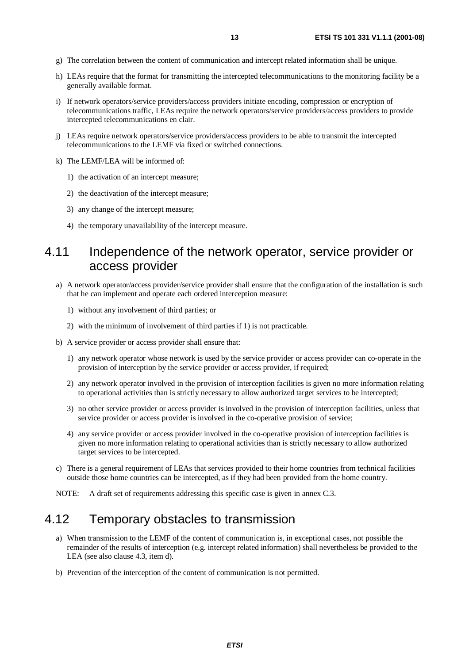- g) The correlation between the content of communication and intercept related information shall be unique.
- h) LEAs require that the format for transmitting the intercepted telecommunications to the monitoring facility be a generally available format.
- i) If network operators/service providers/access providers initiate encoding, compression or encryption of telecommunications traffic, LEAs require the network operators/service providers/access providers to provide intercepted telecommunications en clair.
- j) LEAs require network operators/service providers/access providers to be able to transmit the intercepted telecommunications to the LEMF via fixed or switched connections.
- k) The LEMF/LEA will be informed of:
	- 1) the activation of an intercept measure;
	- 2) the deactivation of the intercept measure;
	- 3) any change of the intercept measure;
	- 4) the temporary unavailability of the intercept measure.

#### 4.11 Independence of the network operator, service provider or access provider

- a) A network operator/access provider/service provider shall ensure that the configuration of the installation is such that he can implement and operate each ordered interception measure:
	- 1) without any involvement of third parties; or
	- 2) with the minimum of involvement of third parties if 1) is not practicable.
- b) A service provider or access provider shall ensure that:
	- 1) any network operator whose network is used by the service provider or access provider can co-operate in the provision of interception by the service provider or access provider, if required;
	- 2) any network operator involved in the provision of interception facilities is given no more information relating to operational activities than is strictly necessary to allow authorized target services to be intercepted;
	- 3) no other service provider or access provider is involved in the provision of interception facilities, unless that service provider or access provider is involved in the co-operative provision of service;
	- 4) any service provider or access provider involved in the co-operative provision of interception facilities is given no more information relating to operational activities than is strictly necessary to allow authorized target services to be intercepted.
- c) There is a general requirement of LEAs that services provided to their home countries from technical facilities outside those home countries can be intercepted, as if they had been provided from the home country.
- NOTE: A draft set of requirements addressing this specific case is given in annex C.3.

#### 4.12 Temporary obstacles to transmission

- a) When transmission to the LEMF of the content of communication is, in exceptional cases, not possible the remainder of the results of interception (e.g. intercept related information) shall nevertheless be provided to the LEA (see also clause 4.3, item d).
- b) Prevention of the interception of the content of communication is not permitted.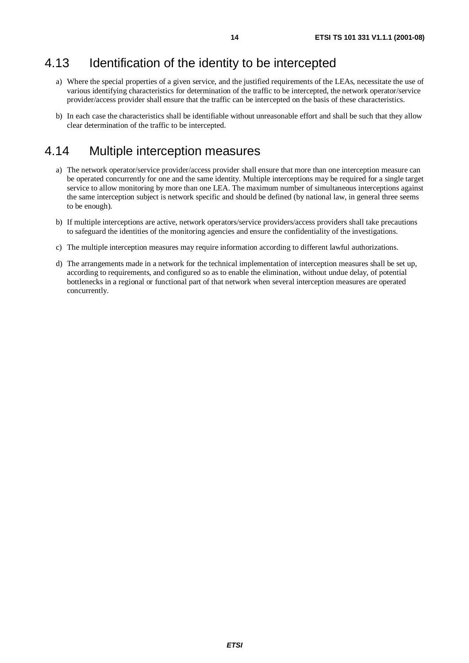#### 4.13 Identification of the identity to be intercepted

- a) Where the special properties of a given service, and the justified requirements of the LEAs, necessitate the use of various identifying characteristics for determination of the traffic to be intercepted, the network operator/service provider/access provider shall ensure that the traffic can be intercepted on the basis of these characteristics.
- b) In each case the characteristics shall be identifiable without unreasonable effort and shall be such that they allow clear determination of the traffic to be intercepted.

#### 4.14 Multiple interception measures

- a) The network operator/service provider/access provider shall ensure that more than one interception measure can be operated concurrently for one and the same identity. Multiple interceptions may be required for a single target service to allow monitoring by more than one LEA. The maximum number of simultaneous interceptions against the same interception subject is network specific and should be defined (by national law, in general three seems to be enough).
- b) If multiple interceptions are active, network operators/service providers/access providers shall take precautions to safeguard the identities of the monitoring agencies and ensure the confidentiality of the investigations.
- c) The multiple interception measures may require information according to different lawful authorizations.
- d) The arrangements made in a network for the technical implementation of interception measures shall be set up, according to requirements, and configured so as to enable the elimination, without undue delay, of potential bottlenecks in a regional or functional part of that network when several interception measures are operated concurrently.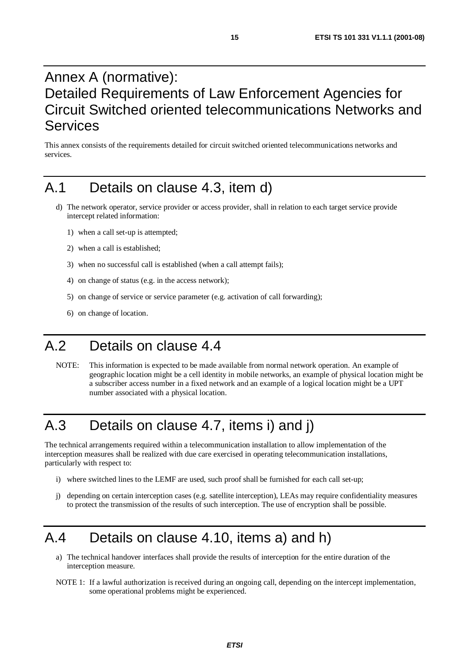## Annex A (normative): Detailed Requirements of Law Enforcement Agencies for Circuit Switched oriented telecommunications Networks and Services

This annex consists of the requirements detailed for circuit switched oriented telecommunications networks and services.

### A.1 Details on clause 4.3, item d)

- d) The network operator, service provider or access provider, shall in relation to each target service provide intercept related information:
	- 1) when a call set-up is attempted;
	- 2) when a call is established;
	- 3) when no successful call is established (when a call attempt fails);
	- 4) on change of status (e.g. in the access network);
	- 5) on change of service or service parameter (e.g. activation of call forwarding);
	- 6) on change of location.

### A.2 Details on clause 4.4

NOTE: This information is expected to be made available from normal network operation. An example of geographic location might be a cell identity in mobile networks, an example of physical location might be a subscriber access number in a fixed network and an example of a logical location might be a UPT number associated with a physical location.

# A.3 Details on clause 4.7, items i) and j)

The technical arrangements required within a telecommunication installation to allow implementation of the interception measures shall be realized with due care exercised in operating telecommunication installations, particularly with respect to:

- i) where switched lines to the LEMF are used, such proof shall be furnished for each call set-up;
- j) depending on certain interception cases (e.g. satellite interception), LEAs may require confidentiality measures to protect the transmission of the results of such interception. The use of encryption shall be possible.

#### A.4 Details on clause 4.10, items a) and h)

- a) The technical handover interfaces shall provide the results of interception for the entire duration of the interception measure.
- NOTE 1: If a lawful authorization is received during an ongoing call, depending on the intercept implementation, some operational problems might be experienced.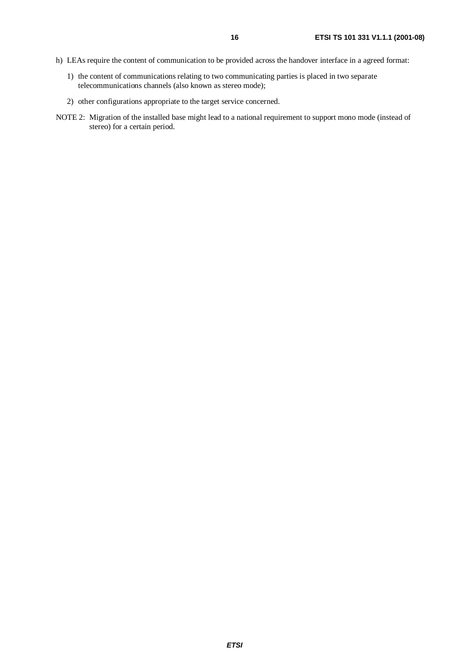- h) LEAs require the content of communication to be provided across the handover interface in a agreed format:
	- 1) the content of communications relating to two communicating parties is placed in two separate telecommunications channels (also known as stereo mode);
	- 2) other configurations appropriate to the target service concerned.
- NOTE 2: Migration of the installed base might lead to a national requirement to support mono mode (instead of stereo) for a certain period.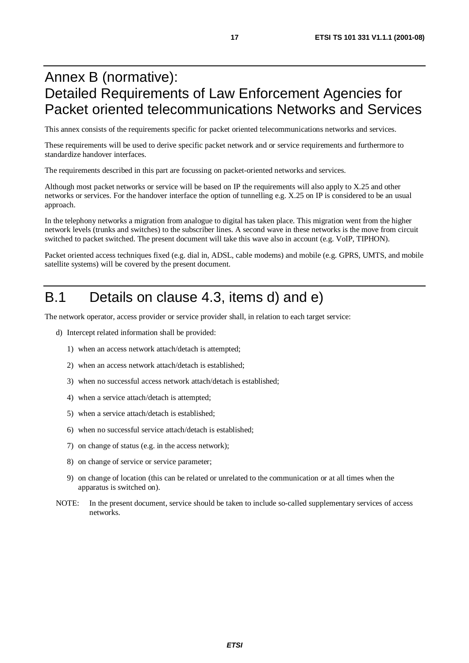## Annex B (normative): Detailed Requirements of Law Enforcement Agencies for Packet oriented telecommunications Networks and Services

This annex consists of the requirements specific for packet oriented telecommunications networks and services.

These requirements will be used to derive specific packet network and or service requirements and furthermore to standardize handover interfaces.

The requirements described in this part are focussing on packet-oriented networks and services.

Although most packet networks or service will be based on IP the requirements will also apply to X.25 and other networks or services. For the handover interface the option of tunnelling e.g. X.25 on IP is considered to be an usual approach.

In the telephony networks a migration from analogue to digital has taken place. This migration went from the higher network levels (trunks and switches) to the subscriber lines. A second wave in these networks is the move from circuit switched to packet switched. The present document will take this wave also in account (e.g. VoIP, TIPHON).

Packet oriented access techniques fixed (e.g. dial in, ADSL, cable modems) and mobile (e.g. GPRS, UMTS, and mobile satellite systems) will be covered by the present document.

#### B.1 Details on clause 4.3, items d) and e)

The network operator, access provider or service provider shall, in relation to each target service:

- d) Intercept related information shall be provided:
	- 1) when an access network attach/detach is attempted;
	- 2) when an access network attach/detach is established;
	- 3) when no successful access network attach/detach is established;
	- 4) when a service attach/detach is attempted;
	- 5) when a service attach/detach is established;
	- 6) when no successful service attach/detach is established;
	- 7) on change of status (e.g. in the access network);
	- 8) on change of service or service parameter;
	- 9) on change of location (this can be related or unrelated to the communication or at all times when the apparatus is switched on).
- NOTE: In the present document, service should be taken to include so-called supplementary services of access networks.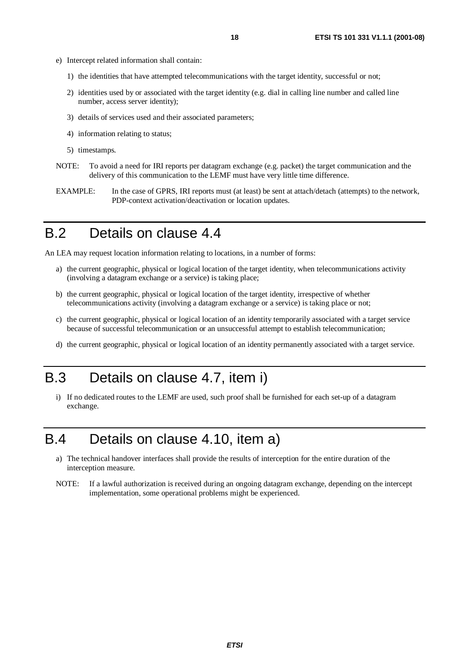- e) Intercept related information shall contain:
	- 1) the identities that have attempted telecommunications with the target identity, successful or not;
	- 2) identities used by or associated with the target identity (e.g. dial in calling line number and called line number, access server identity);
	- 3) details of services used and their associated parameters;
	- 4) information relating to status;
	- 5) timestamps.
- NOTE: To avoid a need for IRI reports per datagram exchange (e.g. packet) the target communication and the delivery of this communication to the LEMF must have very little time difference.
- EXAMPLE: In the case of GPRS, IRI reports must (at least) be sent at attach/detach (attempts) to the network, PDP-context activation/deactivation or location updates.

#### B.2 Details on clause 4.4

An LEA may request location information relating to locations, in a number of forms:

- a) the current geographic, physical or logical location of the target identity, when telecommunications activity (involving a datagram exchange or a service) is taking place;
- b) the current geographic, physical or logical location of the target identity, irrespective of whether telecommunications activity (involving a datagram exchange or a service) is taking place or not;
- c) the current geographic, physical or logical location of an identity temporarily associated with a target service because of successful telecommunication or an unsuccessful attempt to establish telecommunication;
- d) the current geographic, physical or logical location of an identity permanently associated with a target service.

#### B.3 Details on clause 4.7, item i)

i) If no dedicated routes to the LEMF are used, such proof shall be furnished for each set-up of a datagram exchange.

# B.4 Details on clause 4.10, item a)

- a) The technical handover interfaces shall provide the results of interception for the entire duration of the interception measure.
- NOTE: If a lawful authorization is received during an ongoing datagram exchange, depending on the intercept implementation, some operational problems might be experienced.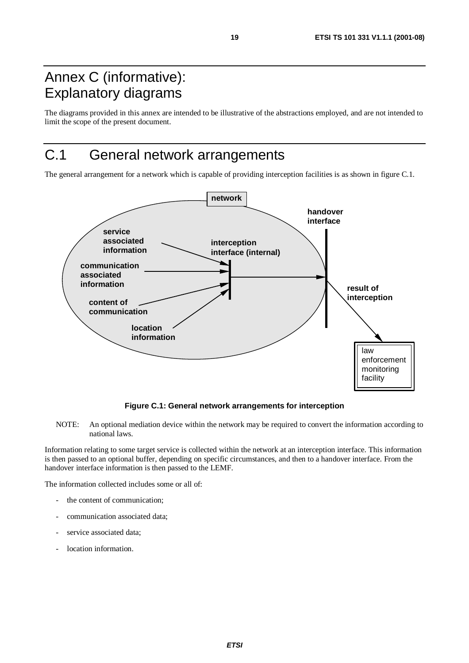# Annex C (informative): Explanatory diagrams

The diagrams provided in this annex are intended to be illustrative of the abstractions employed, and are not intended to limit the scope of the present document.

# C.1 General network arrangements

The general arrangement for a network which is capable of providing interception facilities is as shown in figure C.1.



**Figure C.1: General network arrangements for interception**

NOTE: An optional mediation device within the network may be required to convert the information according to national laws.

Information relating to some target service is collected within the network at an interception interface. This information is then passed to an optional buffer, depending on specific circumstances, and then to a handover interface. From the handover interface information is then passed to the LEMF.

The information collected includes some or all of:

- the content of communication;
- communication associated data;
- service associated data:
- location information.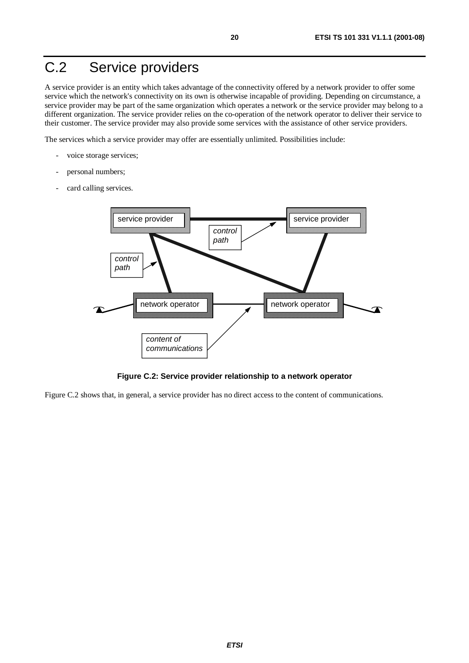# C.2 Service providers

A service provider is an entity which takes advantage of the connectivity offered by a network provider to offer some service which the network's connectivity on its own is otherwise incapable of providing. Depending on circumstance, a service provider may be part of the same organization which operates a network or the service provider may belong to a different organization. The service provider relies on the co-operation of the network operator to deliver their service to their customer. The service provider may also provide some services with the assistance of other service providers.

The services which a service provider may offer are essentially unlimited. Possibilities include:

- voice storage services;
- personal numbers;
- card calling services.



**Figure C.2: Service provider relationship to a network operator**

Figure C.2 shows that, in general, a service provider has no direct access to the content of communications.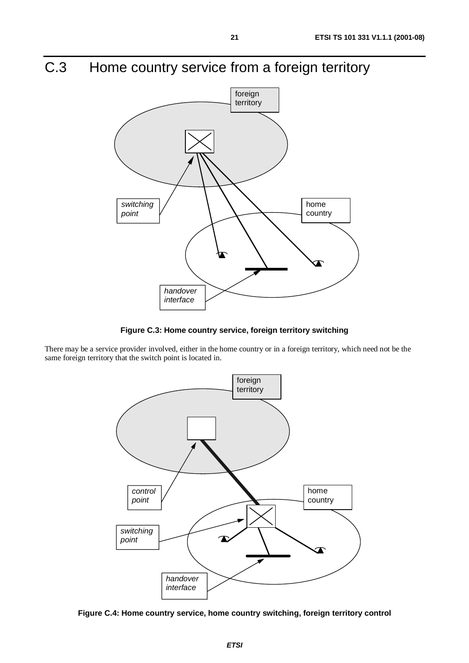# C.3 Home country service from a foreign territory



**Figure C.3: Home country service, foreign territory switching**

There may be a service provider involved, either in the home country or in a foreign territory, which need not be the same foreign territory that the switch point is located in.



**Figure C.4: Home country service, home country switching, foreign territory control**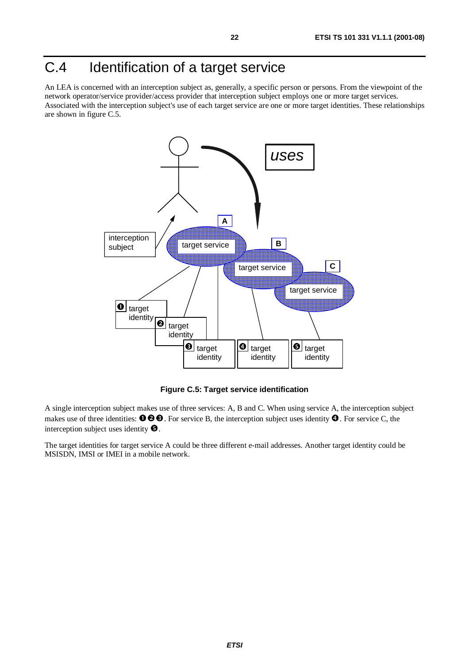# C.4 Identification of a target service

An LEA is concerned with an interception subject as, generally, a specific person or persons. From the viewpoint of the network operator/service provider/access provider that interception subject employs one or more target services. Associated with the interception subject's use of each target service are one or more target identities. These relationships are shown in figure C.5.



**Figure C.5: Target service identification**

A single interception subject makes use of three services: A, B and C. When using service A, the interception subject makes use of three identities:  $\bullet \bullet \bullet$ . For service B, the interception subject uses identity  $\bullet$ . For service C, the interception subject uses identity  $\bullet$ . interception subject uses identity  $\bullet$ .

The target identities for target service A could be three different e-mail addresses. Another target identity could be MSISDN, IMSI or IMEI in a mobile network.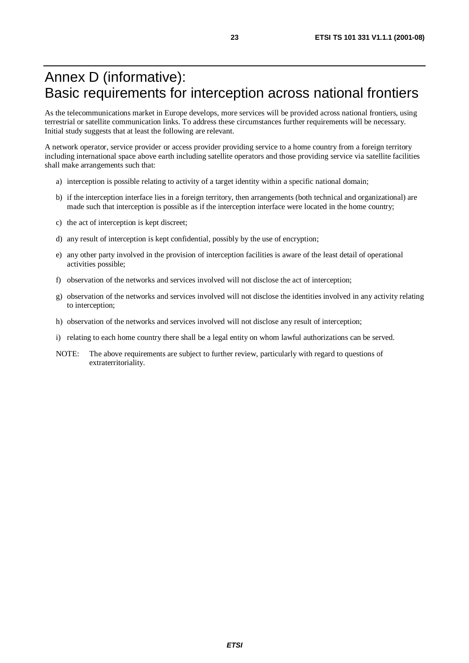## Annex D (informative): Basic requirements for interception across national frontiers

As the telecommunications market in Europe develops, more services will be provided across national frontiers, using terrestrial or satellite communication links. To address these circumstances further requirements will be necessary. Initial study suggests that at least the following are relevant.

A network operator, service provider or access provider providing service to a home country from a foreign territory including international space above earth including satellite operators and those providing service via satellite facilities shall make arrangements such that:

- a) interception is possible relating to activity of a target identity within a specific national domain;
- b) if the interception interface lies in a foreign territory, then arrangements (both technical and organizational) are made such that interception is possible as if the interception interface were located in the home country;
- c) the act of interception is kept discreet;
- d) any result of interception is kept confidential, possibly by the use of encryption;
- e) any other party involved in the provision of interception facilities is aware of the least detail of operational activities possible;
- f) observation of the networks and services involved will not disclose the act of interception;
- g) observation of the networks and services involved will not disclose the identities involved in any activity relating to interception;
- h) observation of the networks and services involved will not disclose any result of interception;
- i) relating to each home country there shall be a legal entity on whom lawful authorizations can be served.
- NOTE: The above requirements are subject to further review, particularly with regard to questions of extraterritoriality.